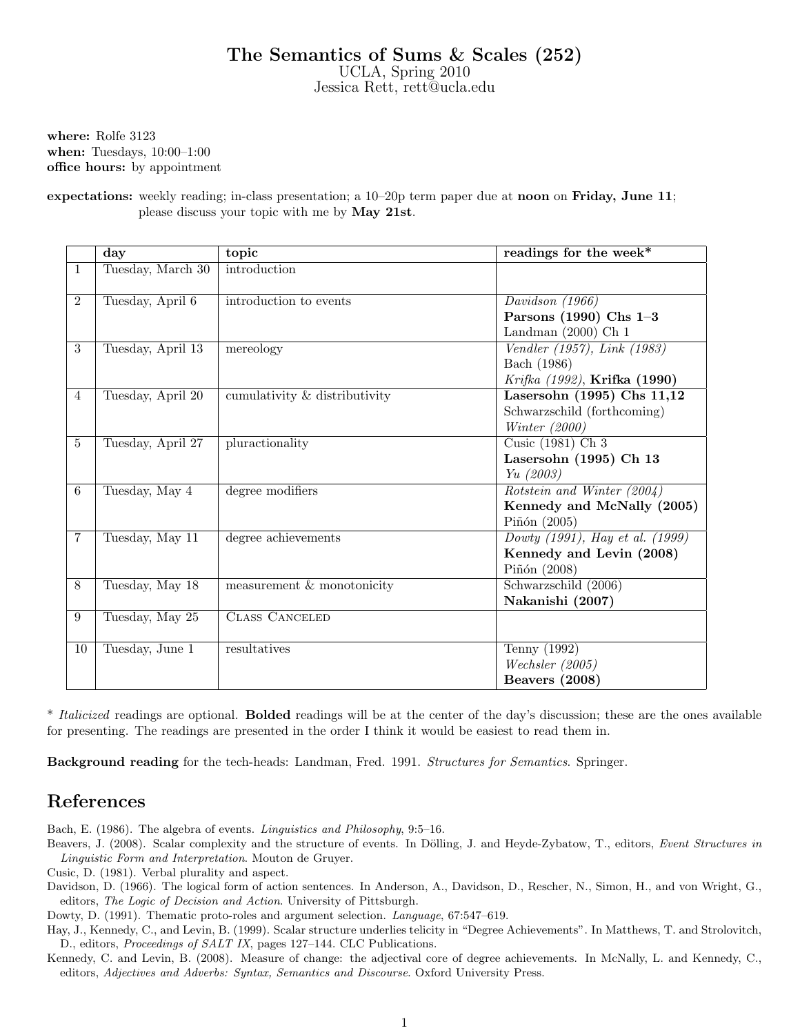## The Semantics of Sums & Scales (252)

UCLA, Spring 2010 Jessica Rett, rett@ucla.edu

where: Rolfe 3123 when: Tuesdays, 10:00–1:00 office hours: by appointment

expectations: weekly reading; in-class presentation; a 10–20p term paper due at noon on Friday, June 11; please discuss your topic with me by May 21st.

|                | $\bf day$         | topic                         | readings for the week*              |
|----------------|-------------------|-------------------------------|-------------------------------------|
| $\mathbf{1}$   | Tuesday, March 30 | introduction                  |                                     |
|                |                   |                               |                                     |
| $\overline{2}$ | Tuesday, April 6  | introduction to events        | Davidson $(1966)$                   |
|                |                   |                               | Parsons (1990) Chs 1-3              |
|                |                   |                               | Landman $(2000)$ Ch 1               |
| $\overline{3}$ | Tuesday, April 13 | mereology                     | Vendler (1957), Link (1983)         |
|                |                   |                               | Bach (1986)                         |
|                |                   |                               | Krifka (1992), <b>Krifka (1990)</b> |
| $\overline{4}$ | Tuesday, April 20 | cumulativity & distributivity | Lasersohn $(1995)$ Chs $11,12$      |
|                |                   |                               | Schwarzschild (forthcoming)         |
|                |                   |                               | Winter $(2000)$                     |
| $\overline{5}$ | Tuesday, April 27 | pluractionality               | Cusic (1981) Ch 3                   |
|                |                   |                               | Lasersohn (1995) Ch 13              |
|                |                   |                               | Yu(2003)                            |
| 6              | Tuesday, May 4    | degree modifiers              | Rotstein and Winter (2004)          |
|                |                   |                               | Kennedy and McNally (2005)          |
|                |                   |                               | Piñón (2005)                        |
| $\overline{7}$ | Tuesday, May 11   | degree achievements           | Dowty (1991), Hay et al. (1999)     |
|                |                   |                               | Kennedy and Levin (2008)            |
|                |                   |                               | Piñón $(2008)$                      |
| 8              | Tuesday, May 18   | measurement $&$ monotonicity  | Schwarzschild (2006)                |
|                |                   |                               | Nakanishi (2007)                    |
| 9              | Tuesday, May 25   | <b>CLASS CANCELED</b>         |                                     |
|                |                   |                               |                                     |
| 10             | Tuesday, June 1   | resultatives                  | Tenny (1992)                        |
|                |                   |                               | Wechsler (2005)                     |
|                |                   |                               | Beavers (2008)                      |

\* Italicized readings are optional. **Bolded** readings will be at the center of the day's discussion; these are the ones available for presenting. The readings are presented in the order I think it would be easiest to read them in.

Background reading for the tech-heads: Landman, Fred. 1991. Structures for Semantics. Springer.

## References

Bach, E. (1986). The algebra of events. Linguistics and Philosophy, 9:5–16.

Beavers, J. (2008). Scalar complexity and the structure of events. In Dölling, J. and Heyde-Zybatow, T., editors, Event Structures in Linguistic Form and Interpretation. Mouton de Gruyer.

Cusic, D. (1981). Verbal plurality and aspect.

Davidson, D. (1966). The logical form of action sentences. In Anderson, A., Davidson, D., Rescher, N., Simon, H., and von Wright, G., editors, The Logic of Decision and Action. University of Pittsburgh.

Dowty, D. (1991). Thematic proto-roles and argument selection. Language, 67:547–619.

Hay, J., Kennedy, C., and Levin, B. (1999). Scalar structure underlies telicity in "Degree Achievements". In Matthews, T. and Strolovitch, D., editors, Proceedings of SALT IX, pages 127–144. CLC Publications.

Kennedy, C. and Levin, B. (2008). Measure of change: the adjectival core of degree achievements. In McNally, L. and Kennedy, C., editors, Adjectives and Adverbs: Syntax, Semantics and Discourse. Oxford University Press.